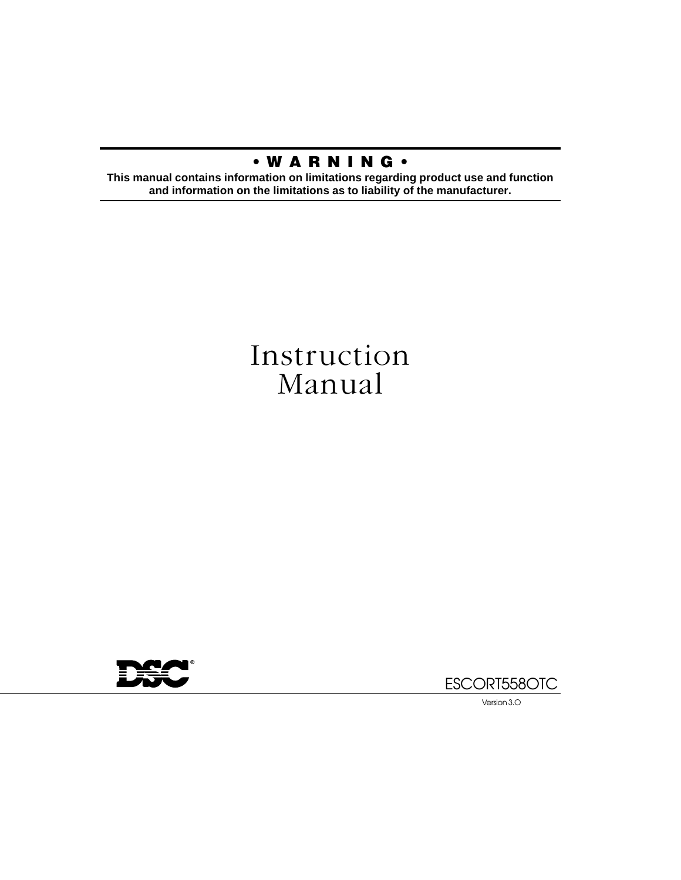# **• W A R N I N G •**

**This manual contains information on limitations regarding product use and function and information on the limitations as to liability of the manufacturer.**

# Instruction Manual





Version 3.O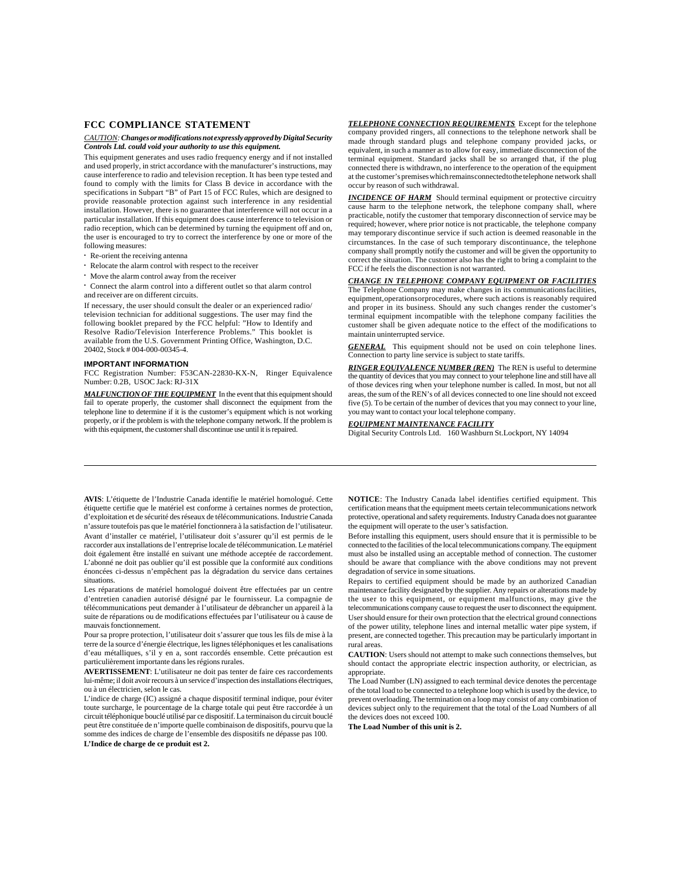#### **FCC COMPLIANCE STATEMENT**

#### *CAUTION: Changes or modifications not expressly approved by Digital Security Controls Ltd. could void your authority to use this equipment.*

This equipment generates and uses radio frequency energy and if not installed and used properly, in strict accordance with the manufacturer's instructions, may cause interference to radio and television reception. It has been type tested and found to comply with the limits for Class B device in accordance with the specifications in Subpart "B" of Part 15 of FCC Rules, which are designed to provide reasonable protection against such interference in any residential installation. However, there is no guarantee that interference will not occur in a particular installation. If this equipment does cause interference to television or radio reception, which can be determined by turning the equipment off and on, the user is encouraged to try to correct the interference by one or more of the following measures:

- Re-orient the receiving antenna
- Relocate the alarm control with respect to the receiver
- Move the alarm control away from the receiver
- Connect the alarm control into a different outlet so that alarm control and receiver are on different circuits.

If necessary, the user should consult the dealer or an experienced radio/ television technician for additional suggestions. The user may find the following booklet prepared by the FCC helpful: "How to Identify and Resolve Radio/Television Interference Problems." This booklet is available from the U.S. Government Printing Office, Washington, D.C. 20402, Stock # 004-000-00345-4.

#### **IMPORTANT INFORMATION**

FCC Registration Number: F53CAN-22830-KX-N, Ringer Equivalence Number: 0.2B, USOC Jack: RJ-31X

MALFUNCTION OF THE EQUIPMENT In the event that this equipment should fail to operate properly, the customer shall disconnect the equipment from the telephone line to determine if it is the customer's equipment which is not working properly, or if the problem is with the telephone company network. If the problem is with this equipment, the customer shall discontinue use until it is repaired.

*TELEPHONE CONNECTION REQUIREMENTS* Except for the telephone company provided ringers, all connections to the telephone network shall be made through standard plugs and telephone company provided jacks, or equivalent, in such a manner as to allow for easy, immediate disconnection of the terminal equipment. Standard jacks shall be so arranged that, if the plug connected there is withdrawn, no interference to the operation of the equipment at the customer's premises which remains connected to the telephone network shall occur by reason of such withdrawal.

**INCIDENCE OF HARM** Should terminal equipment or protective circuitry cause harm to the telephone network, the telephone company shall, where practicable, notify the customer that temporary disconnection of service may be required; however, where prior notice is not practicable, the telephone company may temporary discontinue service if such action is deemed reasonable in the circumstances. In the case of such temporary discontinuance, the telephone company shall promptly notify the customer and will be given the opportunity to correct the situation. The customer also has the right to bring a complaint to the FCC if he feels the disconnection is not warranted.

#### *CHANGE IN TELEPHONE COMPANY EQUIPMENT OR FACILITIES*

The Telephone Company may make changes in its communications facilities, equipment, operations or procedures, where such actions is reasonably required and proper in its business. Should any such changes render the customer's terminal equipment incompatible with the telephone company facilities the customer shall be given adequate notice to the effect of the modifications to maintain uninterrupted service.

*GENERAL* This equipment should not be used on coin telephone lines. Connection to party line service is subject to state tariffs.

*RINGER EQUIVALENCE NUMBER (REN)* The REN is useful to determine the quantity of devices that you may connect to your telephone line and still have all of those devices ring when your telephone number is called. In most, but not all areas, the sum of the REN's of all devices connected to one line should not exceed five (5). To be certain of the number of devices that you may connect to your line, you may want to contact your local telephone company.

#### *EQUIPMENT MAINTENANCE FACILITY*

Digital Security Controls Ltd. 160 Washburn St.Lockport, NY 14094

**AVIS**: L'étiquette de l'Industrie Canada identifie le matériel homologué. Cette étiquette certifie que le matériel est conforme à certaines normes de protection, d'exploitation et de sécurité des réseaux de télécommunications. Industrie Canada n'assure toutefois pas que le matériel fonctionnera à la satisfaction de l'utilisateur. Avant d'installer ce matériel, l'utilisateur doit s'assurer qu'il est permis de le raccorder aux installations de l'entreprise locale de télécommunication. Le matériel doit également être installé en suivant une méthode acceptée de raccordement. L'abonné ne doit pas oublier qu'il est possible que la conformité aux conditions énoncées ci-dessus n'empêchent pas la dégradation du service dans certaines situations.

Les réparations de matériel homologué doivent être effectuées par un centre d'entretien canadien autorisé désigné par le fournisseur. La compagnie de télécommunications peut demander à l'utilisateur de débrancher un appareil à la suite de réparations ou de modifications effectuées par l'utilisateur ou à cause de mauvais fonctionnement.

Pour sa propre protection, l'utilisateur doit s'assurer que tous les fils de mise à la terre de la source d'énergie électrique, les lignes téléphoniques et les canalisations d'eau métalliques, s'il y en a, sont raccordés ensemble. Cette précaution est particulièrement importante dans les régions rurales.

**AVERTISSEMENT**: L'utilisateur ne doit pas tenter de faire ces raccordements lui-même; il doit avoir recours à un service d'inspection des installations électriques, ou à un électricien, selon le cas.

L'indice de charge (IC) assigné a chaque dispositif terminal indique, pour éviter toute surcharge, le pourcentage de la charge totale qui peut être raccordée à un circuit téléphonique bouclé utilisé par ce dispositif. La terminaison du circuit bouclé peut être constituée de n'importe quelle combinaison de dispositifs, pourvu que la somme des indices de charge de l'ensemble des dispositifs ne dépasse pas 100.

**NOTICE**: The Industry Canada label identifies certified equipment. This certification means that the equipment meets certain telecommunications network protective, operational and safety requirements. Industry Canada does not guarantee the equipment will operate to the user's satisfaction.

Before installing this equipment, users should ensure that it is permissible to be connected to the facilities of the local telecommunications company. The equipment must also be installed using an acceptable method of connection. The customer should be aware that compliance with the above conditions may not prevent degradation of service in some situations.

Repairs to certified equipment should be made by an authorized Canadian maintenance facility designated by the supplier. Any repairs or alterations made by the user to this equipment, or equipment malfunctions, may give the telecommunications company cause to request the user to disconnect the equipment. User should ensure for their own protection that the electrical ground connections of the power utility, telephone lines and internal metallic water pipe system, if present, are connected together. This precaution may be particularly important in rural areas.

**CAUTION**: Users should not attempt to make such connections themselves, but should contact the appropriate electric inspection authority, or electrician, as appropriate.

The Load Number (LN) assigned to each terminal device denotes the percentage of the total load to be connected to a telephone loop which is used by the device, to prevent overloading. The termination on a loop may consist of any combination of devices subject only to the requirement that the total of the Load Numbers of all the devices does not exceed 100.

**The Load Number of this unit is 2.**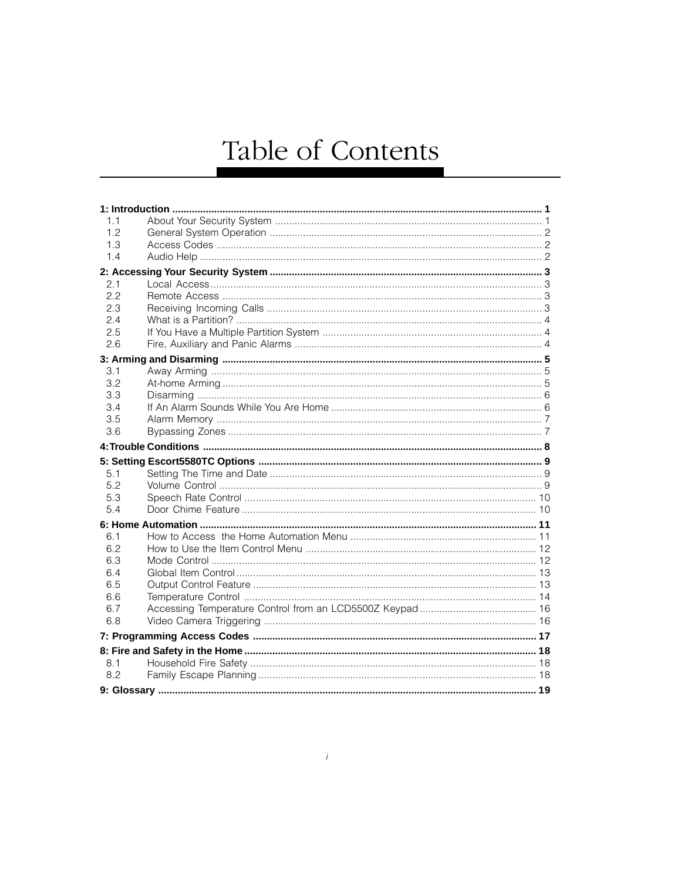# Table of Contents

| 1.1 |  |
|-----|--|
| 1.2 |  |
| 1.3 |  |
| 1.4 |  |
|     |  |
| 2.1 |  |
| 2.2 |  |
| 2.3 |  |
| 2.4 |  |
| 2.5 |  |
| 2.6 |  |
|     |  |
| 3.1 |  |
| 3.2 |  |
| 3.3 |  |
| 3.4 |  |
| 3.5 |  |
| 3.6 |  |
|     |  |
|     |  |
| 5.1 |  |
| 5.2 |  |
| 5.3 |  |
| 5.4 |  |
|     |  |
| 6.1 |  |
| 6.2 |  |
| 6.3 |  |
| 6.4 |  |
| 6.5 |  |
| 6.6 |  |
| 6.7 |  |
| 6.8 |  |
|     |  |
|     |  |
|     |  |
| 8.1 |  |
| 8.2 |  |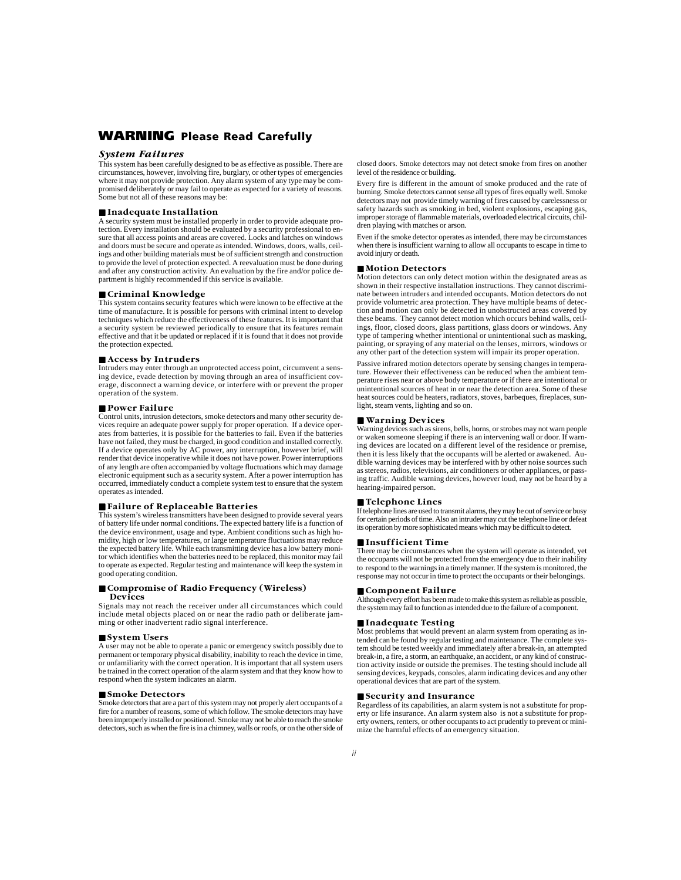# **WARNING Please Read Carefully**

#### *System Failures*

This system has been carefully designed to be as effective as possible. There are circumstances, however, involving fire, burglary, or other types of emergencies where it may not provide protection. Any alarm system of any type may be compromised deliberately or may fail to operate as expected for a variety of reasons. Some but not all of these reasons may be:

#### ■ **Inadequate Installation**

A security system must be installed properly in order to provide adequate protection. Every installation should be evaluated by a security professional to ensure that all access points and areas are covered. Locks and latches on windows and doors must be secure and operate as intended. Windows, doors, walls, ceilings and other building materials must be of sufficient strength and construction to provide the level of protection expected. A reevaluation must be done during and after any construction activity. An evaluation by the fire and/or police department is highly recommended if this service is available.

#### ■ **Criminal Knowledge**

This system contains security features which were known to be effective at the time of manufacture. It is possible for persons with criminal intent to develop techniques which reduce the effectiveness of these features. It is important that a security system be reviewed periodically to ensure that its features remain effective and that it be updated or replaced if it is found that it does not provide the protection expected.

#### ■ **Access by Intruders**

Intruders may enter through an unprotected access point, circumvent a sensing device, evade detection by moving through an area of insufficient coverage, disconnect a warning device, or interfere with or prevent the proper operation of the system.

#### ■ **Power Failure**

Control units, intrusion detectors, smoke detectors and many other security devices require an adequate power supply for proper operation. If a device operates from batteries, it is possible for the batteries to fail. Even if the batteries have not failed, they must be charged, in good condition and installed correctly. If a device operates only by AC power, any interruption, however brief, will render that device inoperative while it does not have power. Power interruptions of any length are often accompanied by voltage fluctuations which may damage electronic equipment such as a security system. After a power interruption has occurred, immediately conduct a complete system test to ensure that the system operates as intended.

#### ■ **Failure of Replaceable Batteries**

This system's wireless transmitters have been designed to provide several years of battery life under normal conditions. The expected battery life is a function of the device environment, usage and type. Ambient conditions such as high humidity, high or low temperatures, or large temperature fluctuations may reduce the expected battery life. While each transmitting device has a low battery monitor which identifies when the batteries need to be replaced, this monitor may fail to operate as expected. Regular testing and maintenance will keep the system in good operating condition.

#### ■ **Compromise of Radio Frequency (Wireless) Devices**

Signals may not reach the receiver under all circumstances which could include metal objects placed on or near the radio path or deliberate jamming or other inadvertent radio signal interference.

#### ■ **System Users**

A user may not be able to operate a panic or emergency switch possibly due to permanent or temporary physical disability, inability to reach the device in time, or unfamiliarity with the correct operation. It is important that all system users be trained in the correct operation of the alarm system and that they know how to respond when the system indicates an alarm.

#### ■ **Smoke Detectors**

Smoke detectors that are a part of this system may not properly alert occupants of a fire for a number of reasons, some of which follow. The smoke detectors may have been improperly installed or positioned. Smoke may not be able to reach the smoke detectors, such as when the fire is in a chimney, walls or roofs, or on the other side of closed doors. Smoke detectors may not detect smoke from fires on another level of the residence or building.

Every fire is different in the amount of smoke produced and the rate of burning. Smoke detectors cannot sense all types of fires equally well. Smoke detectors may not provide timely warning of fires caused by carelessness or safety hazards such as smoking in bed, violent explosions, escaping gas, improper storage of flammable materials, overloaded electrical circuits, children playing with matches or arson.

Even if the smoke detector operates as intended, there may be circumstances when there is insufficient warning to allow all occupants to escape in time to avoid injury or death.

#### ■ **Motion Detectors**

Motion detectors can only detect motion within the designated areas as shown in their respective installation instructions. They cannot discriminate between intruders and intended occupants. Motion detectors do not provide volumetric area protection. They have multiple beams of detection and motion can only be detected in unobstructed areas covered by these beams. They cannot detect motion which occurs behind walls, ceilings, floor, closed doors, glass partitions, glass doors or windows. Any type of tampering whether intentional or unintentional such as masking, painting, or spraying of any material on the lenses, mirrors, windows or any other part of the detection system will impair its proper operation.

Passive infrared motion detectors operate by sensing changes in temperature. However their effectiveness can be reduced when the ambient temperature rises near or above body temperature or if there are intentional or unintentional sources of heat in or near the detection area. Some of these heat sources could be heaters, radiators, stoves, barbeques, fireplaces, sunlight, steam vents, lighting and so on.

#### ■ **Warning Devices**

Warning devices such as sirens, bells, horns, or strobes may not warn people or waken someone sleeping if there is an intervening wall or door. If warning devices are located on a different level of the residence or premise, then it is less likely that the occupants will be alerted or awakened. Audible warning devices may be interfered with by other noise sources such as stereos, radios, televisions, air conditioners or other appliances, or passing traffic. Audible warning devices, however loud, may not be heard by a hearing-impaired person.

#### ■ **Telephone Lines**

If telephone lines are used to transmit alarms, they may be out of service or busy for certain periods of time. Also an intruder may cut the telephone line or defeat its operation by more sophisticated means which may be difficult to detect.

#### ■ **Insufficient Time**

There may be circumstances when the system will operate as intended, yet the occupants will not be protected from the emergency due to their inability to respond to the warnings in a timely manner. If the system is monitored, the response may not occur in time to protect the occupants or their belongings.

#### ■ **Component Failure**

Although every effort has been made to make this system as reliable as possible, the system may fail to function as intended due to the failure of a component.

#### ■ **Inadequate Testing**

Most problems that would prevent an alarm system from operating as intended can be found by regular testing and maintenance. The complete system should be tested weekly and immediately after a break-in, an attempted break-in, a fire, a storm, an earthquake, an accident, or any kind of construction activity inside or outside the premises. The testing should include all sensing devices, keypads, consoles, alarm indicating devices and any other operational devices that are part of the system.

#### ■ **Security and Insurance**

Regardless of its capabilities, an alarm system is not a substitute for property or life insurance. An alarm system also is not a substitute for property owners, renters, or other occupants to act prudently to prevent or minimize the harmful effects of an emergency situation.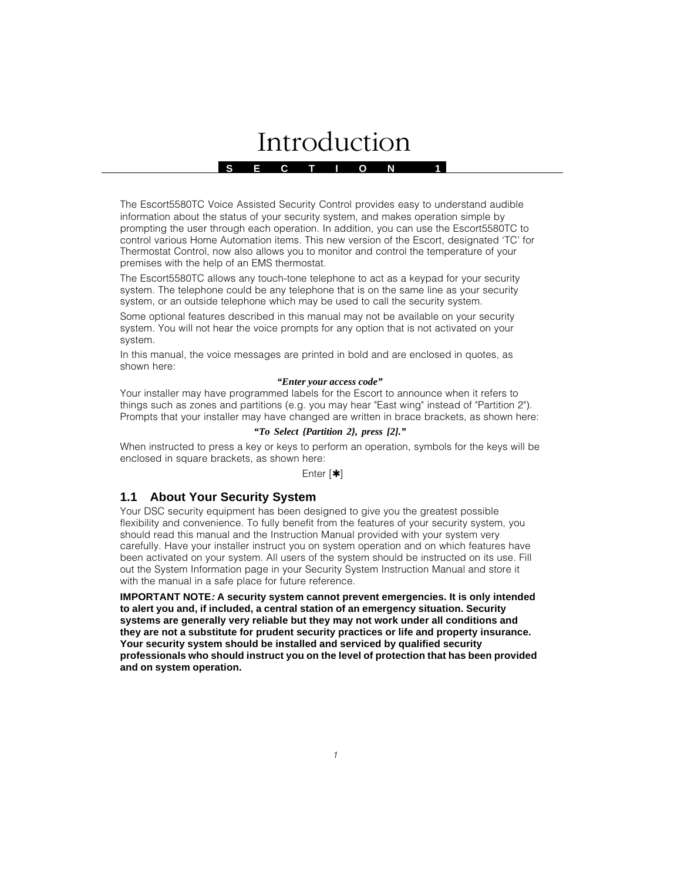# Introduction

**S E C T I O N 1**

The Escort5580TC Voice Assisted Security Control provides easy to understand audible information about the status of your security system, and makes operation simple by prompting the user through each operation. In addition, you can use the Escort5580TC to control various Home Automation items. This new version of the Escort, designated 'TC' for Thermostat Control, now also allows you to monitor and control the temperature of your premises with the help of an EMS thermostat.

The Escort5580TC allows any touch-tone telephone to act as a keypad for your security system. The telephone could be any telephone that is on the same line as your security system, or an outside telephone which may be used to call the security system.

Some optional features described in this manual may not be available on your security system. You will not hear the voice prompts for any option that is not activated on your system.

In this manual, the voice messages are printed in bold and are enclosed in quotes, as shown here:

#### *"Enter your access code"*

Your installer may have programmed labels for the Escort to announce when it refers to things such as zones and partitions (e.g. you may hear "East wing" instead of "Partition 2"). Prompts that your installer may have changed are written in brace brackets, as shown here:

## *"To Select {Partition 2}, press [2]."*

When instructed to press a key or keys to perform an operation, symbols for the keys will be enclosed in square brackets, as shown here:

#### Enter [✱]

# **1.1 About Your Security System**

Your DSC security equipment has been designed to give you the greatest possible flexibility and convenience. To fully benefit from the features of your security system, you should read this manual and the Instruction Manual provided with your system very carefully. Have your installer instruct you on system operation and on which features have been activated on your system. All users of the system should be instructed on its use. Fill out the System Information page in your Security System Instruction Manual and store it with the manual in a safe place for future reference.

**IMPORTANT NOTE: A security system cannot prevent emergencies. It is only intended to alert you and, if included, a central station of an emergency situation. Security systems are generally very reliable but they may not work under all conditions and they are not a substitute for prudent security practices or life and property insurance. Your security system should be installed and serviced by qualified security professionals who should instruct you on the level of protection that has been provided and on system operation.**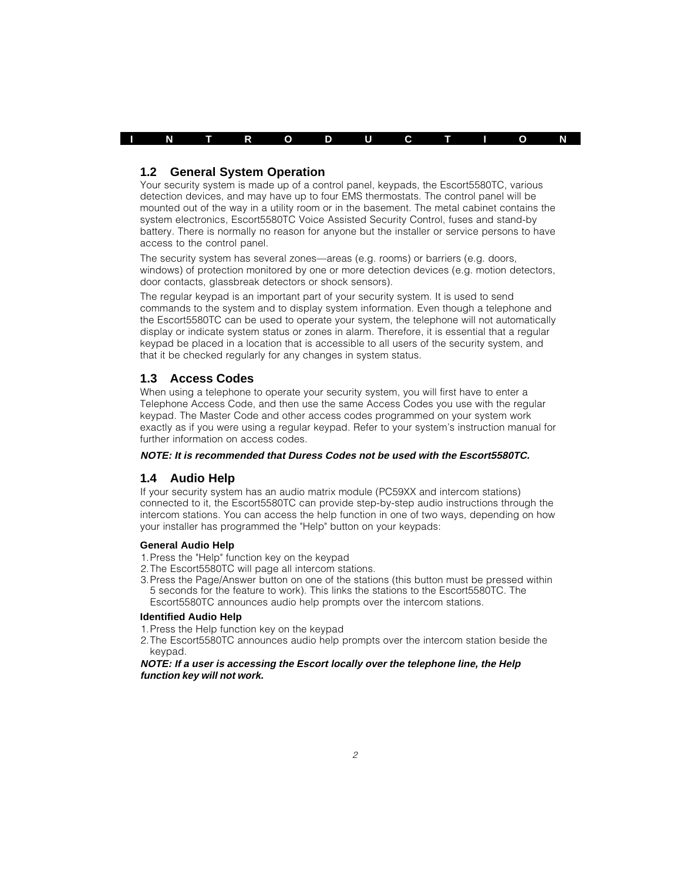

## **1.2 General System Operation**

Your security system is made up of a control panel, keypads, the Escort5580TC, various detection devices, and may have up to four EMS thermostats. The control panel will be mounted out of the way in a utility room or in the basement. The metal cabinet contains the system electronics, Escort5580TC Voice Assisted Security Control, fuses and stand-by battery. There is normally no reason for anyone but the installer or service persons to have access to the control panel.

The security system has several zones—areas (e.g. rooms) or barriers (e.g. doors, windows) of protection monitored by one or more detection devices (e.g. motion detectors, door contacts, glassbreak detectors or shock sensors).

The regular keypad is an important part of your security system. It is used to send commands to the system and to display system information. Even though a telephone and the Escort5580TC can be used to operate your system, the telephone will not automatically display or indicate system status or zones in alarm. Therefore, it is essential that a regular keypad be placed in a location that is accessible to all users of the security system, and that it be checked regularly for any changes in system status.

## **1.3 Access Codes**

When using a telephone to operate your security system, you will first have to enter a Telephone Access Code, and then use the same Access Codes you use with the regular keypad. The Master Code and other access codes programmed on your system work exactly as if you were using a regular keypad. Refer to your system's instruction manual for further information on access codes.

#### **NOTE: It is recommended that Duress Codes not be used with the Escort5580TC.**

## **1.4 Audio Help**

If your security system has an audio matrix module (PC59XX and intercom stations) connected to it, the Escort5580TC can provide step-by-step audio instructions through the intercom stations. You can access the help function in one of two ways, depending on how your installer has programmed the "Help" button on your keypads:

## **General Audio Help**

- 1.Press the "Help" function key on the keypad
- 2.The Escort5580TC will page all intercom stations.
- 3.Press the Page/Answer button on one of the stations (this button must be pressed within 5 seconds for the feature to work). This links the stations to the Escort5580TC. The Escort5580TC announces audio help prompts over the intercom stations.

## **Identified Audio Help**

- 1.Press the Help function key on the keypad
- 2.The Escort5580TC announces audio help prompts over the intercom station beside the keypad.

#### **NOTE: If a user is accessing the Escort locally over the telephone line, the Help function key will not work.**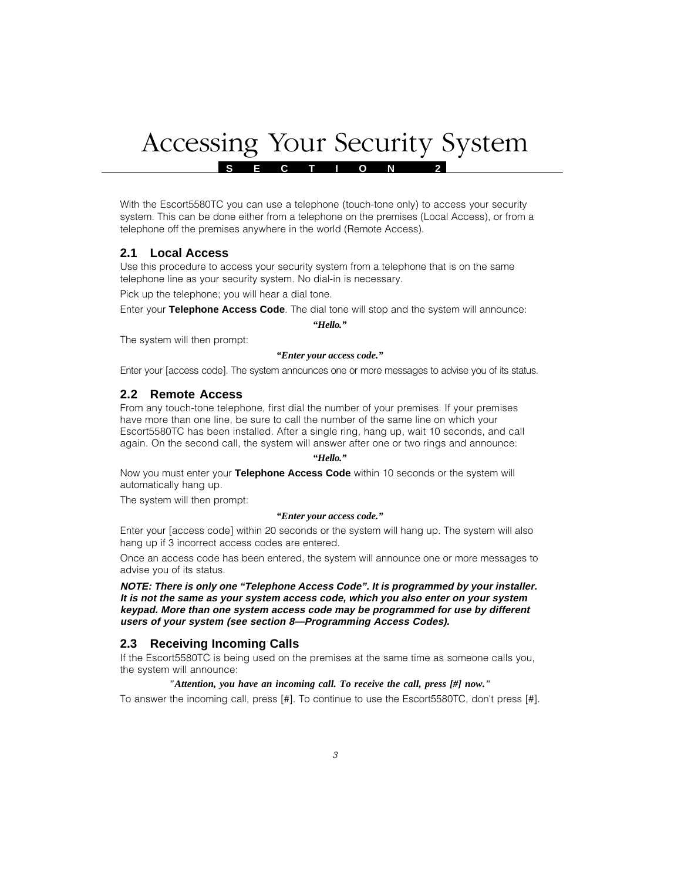# Accessing Your Security System

**S E C T I O N 2**

With the Escort5580TC you can use a telephone (touch-tone only) to access your security system. This can be done either from a telephone on the premises (Local Access), or from a telephone off the premises anywhere in the world (Remote Access).

# **2.1 Local Access**

Use this procedure to access your security system from a telephone that is on the same telephone line as your security system. No dial-in is necessary.

Pick up the telephone; you will hear a dial tone.

Enter your **Telephone Access Code**. The dial tone will stop and the system will announce:

*"Hello."*

The system will then prompt:

#### *"Enter your access code."*

Enter your [access code]. The system announces one or more messages to advise you of its status.

## **2.2 Remote Access**

From any touch-tone telephone, first dial the number of your premises. If your premises have more than one line, be sure to call the number of the same line on which your Escort5580TC has been installed. After a single ring, hang up, wait 10 seconds, and call again. On the second call, the system will answer after one or two rings and announce:

#### *"Hello."*

Now you must enter your **Telephone Access Code** within 10 seconds or the system will automatically hang up.

The system will then prompt:

## *"Enter your access code."*

Enter your [access code] within 20 seconds or the system will hang up. The system will also hang up if 3 incorrect access codes are entered.

Once an access code has been entered, the system will announce one or more messages to advise you of its status.

**NOTE: There is only one "Telephone Access Code". It is programmed by your installer. It is not the same as your system access code, which you also enter on your system keypad. More than one system access code may be programmed for use by different users of your system (see section 8—Programming Access Codes).**

# **2.3 Receiving Incoming Calls**

If the Escort5580TC is being used on the premises at the same time as someone calls you, the system will announce:

## *"Attention, you have an incoming call. To receive the call, press [#] now."*

To answer the incoming call, press [#]. To continue to use the Escort5580TC, don't press [#].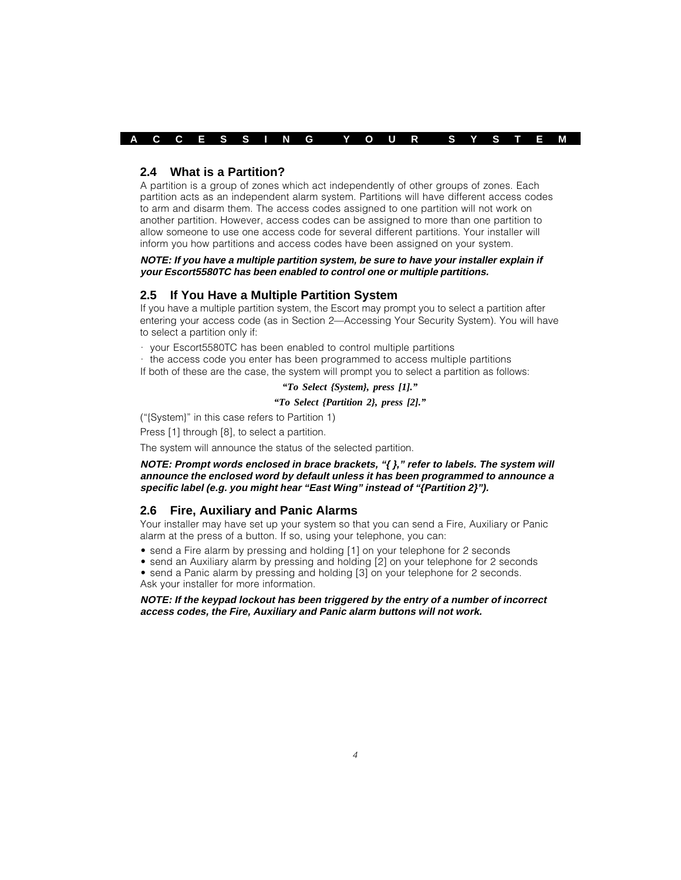**A C C E S S I N G Y O U R S Y S T E M**

## **2.4 What is a Partition?**

A partition is a group of zones which act independently of other groups of zones. Each partition acts as an independent alarm system. Partitions will have different access codes to arm and disarm them. The access codes assigned to one partition will not work on another partition. However, access codes can be assigned to more than one partition to allow someone to use one access code for several different partitions. Your installer will inform you how partitions and access codes have been assigned on your system.

**NOTE: If you have a multiple partition system, be sure to have your installer explain if your Escort5580TC has been enabled to control one or multiple partitions.**

## **2.5 If You Have a Multiple Partition System**

If you have a multiple partition system, the Escort may prompt you to select a partition after entering your access code (as in Section 2—Accessing Your Security System). You will have to select a partition only if:

· your Escort5580TC has been enabled to control multiple partitions

· the access code you enter has been programmed to access multiple partitions If both of these are the case, the system will prompt you to select a partition as follows:

## *"To Select {System}, press [1]."*

#### *"To Select {Partition 2}, press [2]."*

("{System}" in this case refers to Partition 1)

Press [1] through [8], to select a partition.

The system will announce the status of the selected partition.

#### **NOTE: Prompt words enclosed in brace brackets, "{ }," refer to labels. The system will announce the enclosed word by default unless it has been programmed to announce a specific label (e.g. you might hear "East Wing" instead of "{Partition 2}").**

# **2.6 Fire, Auxiliary and Panic Alarms**

Your installer may have set up your system so that you can send a Fire, Auxiliary or Panic alarm at the press of a button. If so, using your telephone, you can:

- send a Fire alarm by pressing and holding [1] on your telephone for 2 seconds
- send an Auxiliary alarm by pressing and holding [2] on your telephone for 2 seconds
- send a Panic alarm by pressing and holding [3] on your telephone for 2 seconds. Ask your installer for more information.

#### **NOTE: If the keypad lockout has been triggered by the entry of a number of incorrect access codes, the Fire, Auxiliary and Panic alarm buttons will not work.**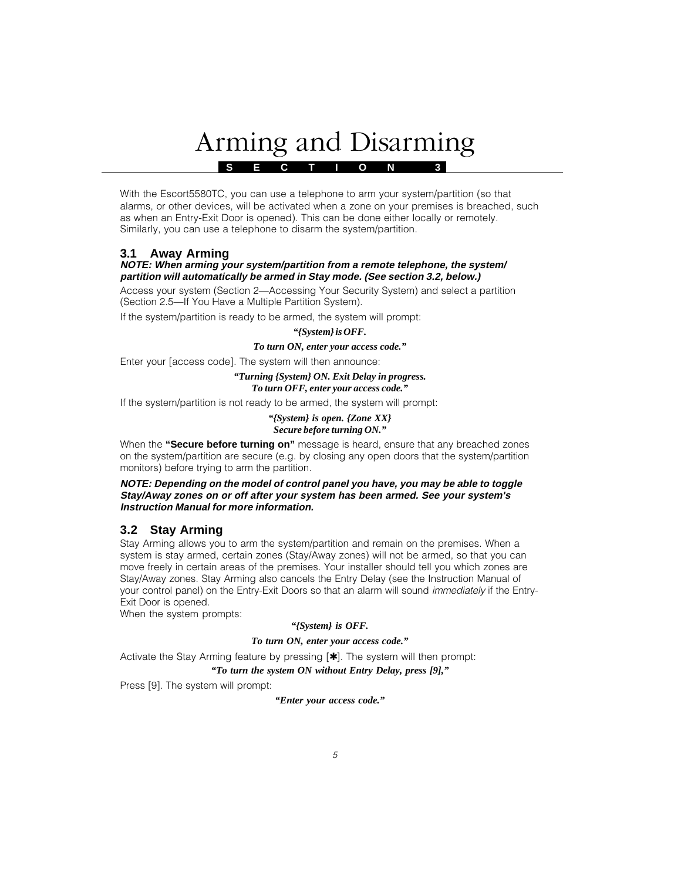# Arming and Disarming

**S E C T I O N 3**

With the Escort5580TC, you can use a telephone to arm your system/partition (so that alarms, or other devices, will be activated when a zone on your premises is breached, such as when an Entry-Exit Door is opened). This can be done either locally or remotely. Similarly, you can use a telephone to disarm the system/partition.

# **3.1 Away Arming**

## **NOTE: When arming your system/partition from a remote telephone, the system/ partition will automatically be armed in Stay mode. (See section 3.2, below.)**

Access your system (Section 2—Accessing Your Security System) and select a partition (Section 2.5—If You Have a Multiple Partition System).

If the system/partition is ready to be armed, the system will prompt:

### *"{System} is OFF.*

#### *To turn ON, enter your access code."*

Enter your [access code]. The system will then announce:

#### *"Turning {System} ON. Exit Delay in progress. To turn OFF, enter your access code."*

If the system/partition is not ready to be armed, the system will prompt:

#### *"{System} is open. {Zone XX} Secure before turning ON."*

When the **"Secure before turning on"** message is heard, ensure that any breached zones on the system/partition are secure (e.g. by closing any open doors that the system/partition monitors) before trying to arm the partition.

### **NOTE: Depending on the model of control panel you have, you may be able to toggle Stay/Away zones on or off after your system has been armed. See your system's Instruction Manual for more information.**

# **3.2 Stay Arming**

Stay Arming allows you to arm the system/partition and remain on the premises. When a system is stay armed, certain zones (Stay/Away zones) will not be armed, so that you can move freely in certain areas of the premises. Your installer should tell you which zones are Stay/Away zones. Stay Arming also cancels the Entry Delay (see the Instruction Manual of your control panel) on the Entry-Exit Doors so that an alarm will sound *immediately* if the Entry-Exit Door is opened.

When the system prompts:

## *"{System} is OFF.*

## *To turn ON, enter your access code."*

Activate the Stay Arming feature by pressing  $[4]$ . The system will then prompt:

## *"To turn the system ON without Entry Delay, press [9],"*

Press [9]. The system will prompt:

*"Enter your access code."*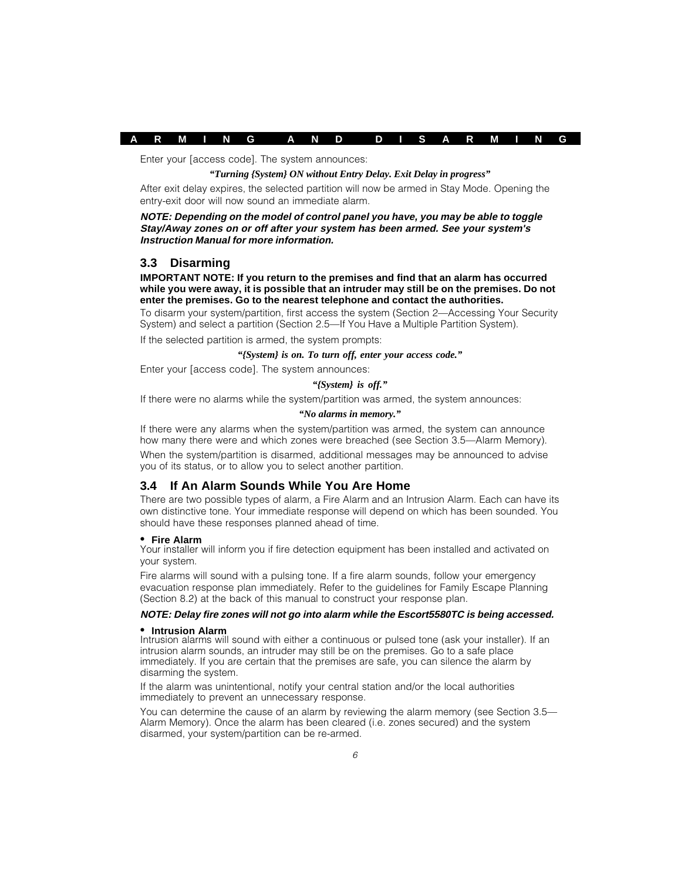

Enter your [access code]. The system announces:

#### *"Turning {System} ON without Entry Delay. Exit Delay in progress"*

After exit delay expires, the selected partition will now be armed in Stay Mode. Opening the entry-exit door will now sound an immediate alarm.

#### **NOTE: Depending on the model of control panel you have, you may be able to toggle Stay/Away zones on or off after your system has been armed. See your system's Instruction Manual for more information.**

## **3.3 Disarming**

**IMPORTANT NOTE: If you return to the premises and find that an alarm has occurred while you were away, it is possible that an intruder may still be on the premises. Do not enter the premises. Go to the nearest telephone and contact the authorities.**

To disarm your system/partition, first access the system (Section 2—Accessing Your Security System) and select a partition (Section 2.5—If You Have a Multiple Partition System).

If the selected partition is armed, the system prompts:

#### *"{System} is on. To turn off, enter your access code."*

Enter your [access code]. The system announces:

#### *"{System} is off."*

If there were no alarms while the system/partition was armed, the system announces:

#### *"No alarms in memory."*

If there were any alarms when the system/partition was armed, the system can announce how many there were and which zones were breached (see Section 3.5—Alarm Memory).

When the system/partition is disarmed, additional messages may be announced to advise you of its status, or to allow you to select another partition.

## **3.4 If An Alarm Sounds While You Are Home**

There are two possible types of alarm, a Fire Alarm and an Intrusion Alarm. Each can have its own distinctive tone. Your immediate response will depend on which has been sounded. You should have these responses planned ahead of time.

#### **• Fire Alarm**

Your installer will inform you if fire detection equipment has been installed and activated on your system.

Fire alarms will sound with a pulsing tone. If a fire alarm sounds, follow your emergency evacuation response plan immediately. Refer to the guidelines for Family Escape Planning (Section 8.2) at the back of this manual to construct your response plan.

#### **NOTE: Delay fire zones will not go into alarm while the Escort5580TC is being accessed.**

#### **• Intrusion Alarm**

Intrusion alarms will sound with either a continuous or pulsed tone (ask your installer). If an intrusion alarm sounds, an intruder may still be on the premises. Go to a safe place immediately. If you are certain that the premises are safe, you can silence the alarm by disarming the system.

If the alarm was unintentional, notify your central station and/or the local authorities immediately to prevent an unnecessary response.

You can determine the cause of an alarm by reviewing the alarm memory (see Section 3.5— Alarm Memory). Once the alarm has been cleared (i.e. zones secured) and the system disarmed, your system/partition can be re-armed.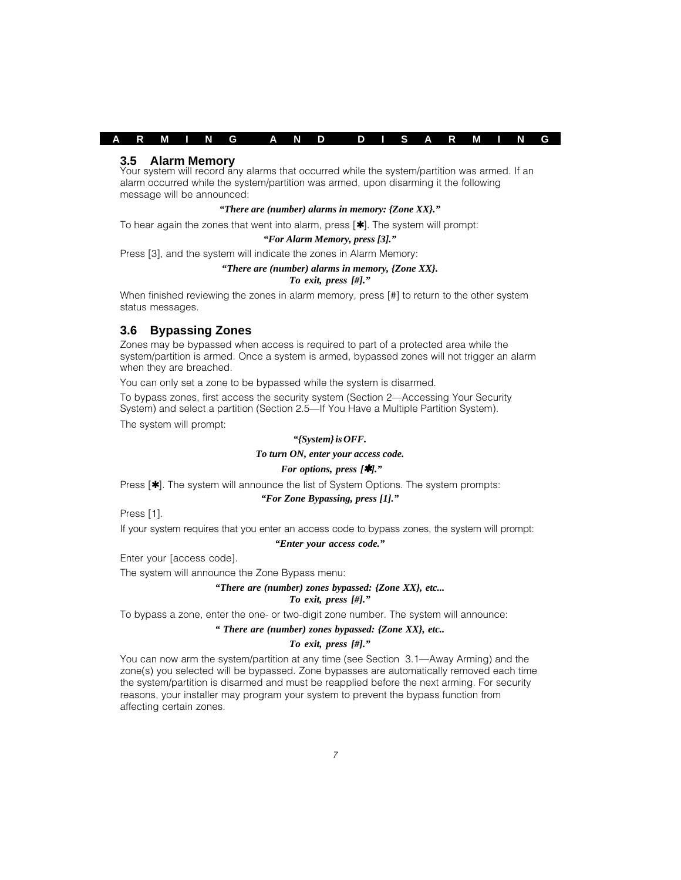## **A R M I N G A N D D I S A R M I N G**

### **3.5 Alarm Memory**

Your system will record any alarms that occurred while the system/partition was armed. If an alarm occurred while the system/partition was armed, upon disarming it the following message will be announced:

#### *"There are (number) alarms in memory: {Zone XX}."*

To hear again the zones that went into alarm, press  $[\star]$ . The system will prompt:

#### *"For Alarm Memory, press [3]."*

Press [3], and the system will indicate the zones in Alarm Memory:

#### *"There are (number) alarms in memory, {Zone XX}.*

#### *To exit, press [#]."*

When finished reviewing the zones in alarm memory, press [#] to return to the other system status messages.

## **3.6 Bypassing Zones**

Zones may be bypassed when access is required to part of a protected area while the system/partition is armed. Once a system is armed, bypassed zones will not trigger an alarm when they are breached.

You can only set a zone to be bypassed while the system is disarmed.

To bypass zones, first access the security system (Section 2—Accessing Your Security System) and select a partition (Section 2.5—If You Have a Multiple Partition System).

The system will prompt:

#### *"{System} is OFF.*

#### *To turn ON, enter your access code.*

#### *For options, press [*✱*]."*

Press [✱]. The system will announce the list of System Options. The system prompts:

#### *"For Zone Bypassing, press [1]."*

Press [1].

If your system requires that you enter an access code to bypass zones, the system will prompt:

#### *"Enter your access code."*

Enter your [access code].

The system will announce the Zone Bypass menu:

#### *"There are (number) zones bypassed: {Zone XX}, etc... To exit, press [#]."*

To bypass a zone, enter the one- or two-digit zone number. The system will announce:

#### *" There are (number) zones bypassed: {Zone XX}, etc..*

#### *To exit, press [#]."*

You can now arm the system/partition at any time (see Section 3.1—Away Arming) and the zone(s) you selected will be bypassed. Zone bypasses are automatically removed each time the system/partition is disarmed and must be reapplied before the next arming. For security reasons, your installer may program your system to prevent the bypass function from affecting certain zones.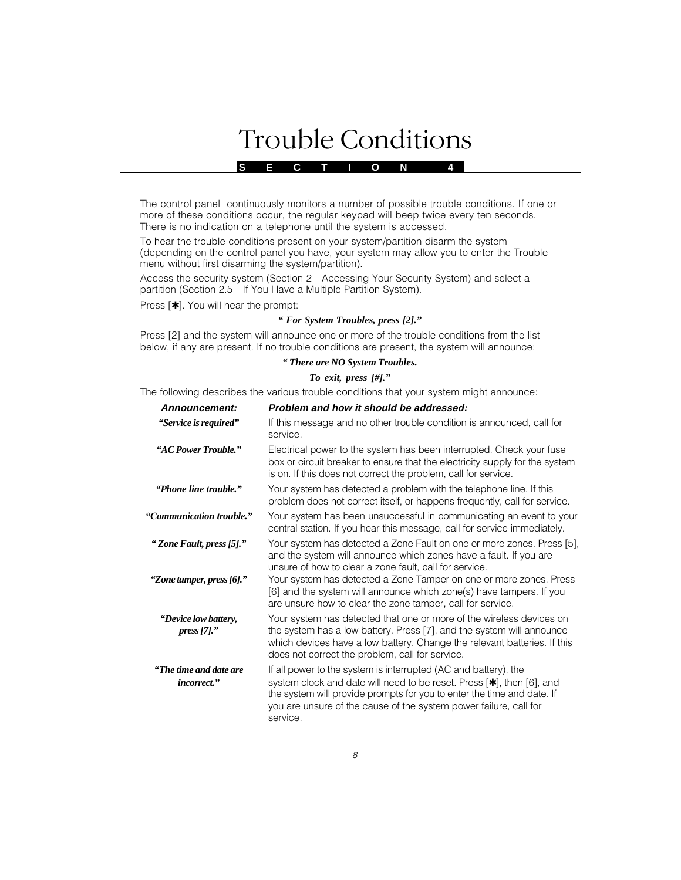# **Solutions** Trouble Conditions

**S E C T I O N 4**

The control panel continuously monitors a number of possible trouble conditions. If one or more of these conditions occur, the regular keypad will beep twice every ten seconds. There is no indication on a telephone until the system is accessed.

To hear the trouble conditions present on your system/partition disarm the system (depending on the control panel you have, your system may allow you to enter the Trouble menu without first disarming the system/partition).

Access the security system (Section 2—Accessing Your Security System) and select a partition (Section 2.5—If You Have a Multiple Partition System).

Press [ $\star$ ]. You will hear the prompt:

## *" For System Troubles, press [2]."*

Press [2] and the system will announce one or more of the trouble conditions from the list below, if any are present. If no trouble conditions are present, the system will announce:

#### *" There are NO System Troubles.*

### *To exit, press [#]."*

The following describes the various trouble conditions that your system might announce:

| Announcement:                                 | Problem and how it should be addressed:                                                                                                                                                                                                                                                             |
|-----------------------------------------------|-----------------------------------------------------------------------------------------------------------------------------------------------------------------------------------------------------------------------------------------------------------------------------------------------------|
| "Service is required"                         | If this message and no other trouble condition is announced, call for<br>service.                                                                                                                                                                                                                   |
| "AC Power Trouble."                           | Electrical power to the system has been interrupted. Check your fuse<br>box or circuit breaker to ensure that the electricity supply for the system<br>is on. If this does not correct the problem, call for service.                                                                               |
| "Phone line trouble."                         | Your system has detected a problem with the telephone line. If this<br>problem does not correct itself, or happens frequently, call for service.                                                                                                                                                    |
| "Communication trouble."                      | Your system has been unsuccessful in communicating an event to your<br>central station. If you hear this message, call for service immediately.                                                                                                                                                     |
| "Zone Fault, press [5]."                      | Your system has detected a Zone Fault on one or more zones. Press [5],<br>and the system will announce which zones have a fault. If you are<br>unsure of how to clear a zone fault, call for service.                                                                                               |
| "Zone tamper, press [6]."                     | Your system has detected a Zone Tamper on one or more zones. Press<br>[6] and the system will announce which zone(s) have tampers. If you<br>are unsure how to clear the zone tamper, call for service.                                                                                             |
| "Device low battery,<br>pres[7]."             | Your system has detected that one or more of the wireless devices on<br>the system has a low battery. Press [7], and the system will announce<br>which devices have a low battery. Change the relevant batteries. If this<br>does not correct the problem, call for service.                        |
| "The time and date are<br><i>incorrect.</i> " | If all power to the system is interrupted (AC and battery), the<br>system clock and date will need to be reset. Press [*], then [6], and<br>the system will provide prompts for you to enter the time and date. If<br>you are unsure of the cause of the system power failure, call for<br>service. |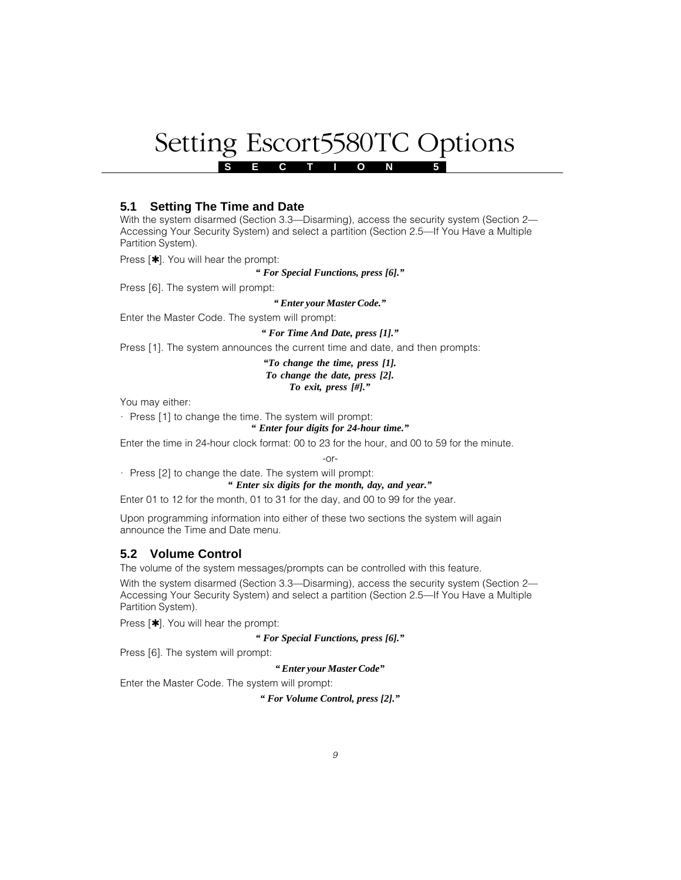# Setting Escort5580TC Options

**S E C T I O N 5**

# **5.1 Setting The Time and Date**

With the system disarmed (Section 3.3—Disarming), access the security system (Section 2— Accessing Your Security System) and select a partition (Section 2.5—If You Have a Multiple Partition System).

Press [ $\star$ ]. You will hear the prompt:

*" For Special Functions, press [6]."*

Press [6]. The system will prompt:

*" Enter your Master Code."*

Enter the Master Code. The system will prompt:

#### *" For Time And Date, press [1]."*

Press [1]. The system announces the current time and date, and then prompts:

*"To change the time, press [1]. To change the date, press [2]. To exit, press [#]."*

You may either:

 $\cdot$  Press [1] to change the time. The system will prompt:

*" Enter four digits for 24-hour time."*

Enter the time in 24-hour clock format: 00 to 23 for the hour, and 00 to 59 for the minute.

 $-0r-$ 

· Press [2] to change the date. The system will prompt:

*" Enter six digits for the month, day, and year."*

Enter 01 to 12 for the month, 01 to 31 for the day, and 00 to 99 for the year.

Upon programming information into either of these two sections the system will again announce the Time and Date menu.

# **5.2 Volume Control**

The volume of the system messages/prompts can be controlled with this feature.

With the system disarmed (Section 3.3—Disarming), access the security system (Section 2— Accessing Your Security System) and select a partition (Section 2.5—If You Have a Multiple Partition System).

Press [✱]. You will hear the prompt:

*" For Special Functions, press [6]."*

Press [6]. The system will prompt:

*" Enter your Master Code"*

Enter the Master Code. The system will prompt:

*" For Volume Control, press [2]."*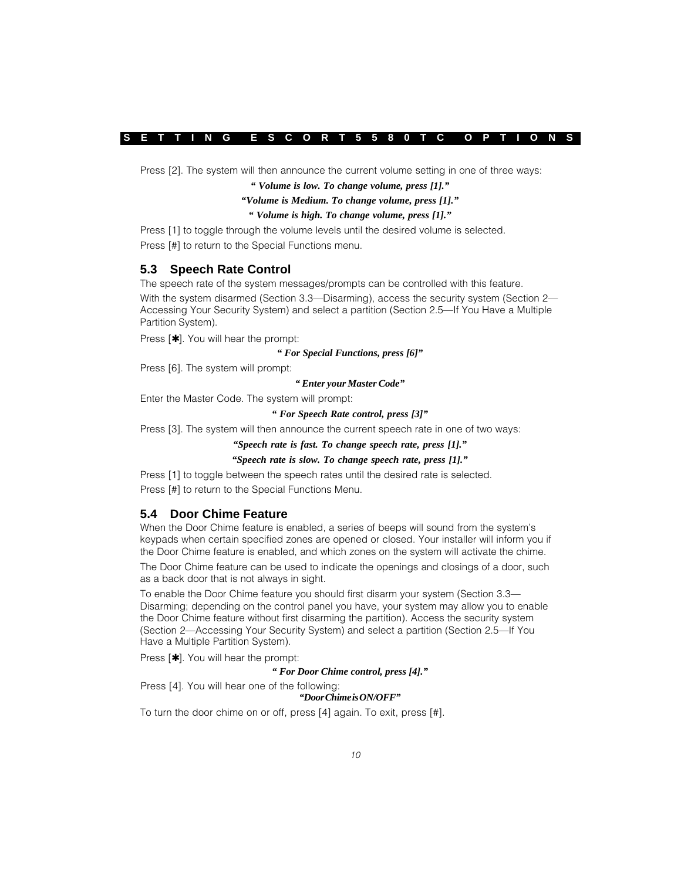Press [2]. The system will then announce the current volume setting in one of three ways:

*" Volume is low. To change volume, press [1]."*

#### *"Volume is Medium. To change volume, press [1]."*

### *" Volume is high. To change volume, press [1]."*

Press [1] to toggle through the volume levels until the desired volume is selected. Press [#] to return to the Special Functions menu.

## **5.3 Speech Rate Control**

The speech rate of the system messages/prompts can be controlled with this feature.

With the system disarmed (Section 3.3—Disarming), access the security system (Section 2— Accessing Your Security System) and select a partition (Section 2.5—If You Have a Multiple Partition System).

Press [ $\star$ ]. You will hear the prompt:

#### *" For Special Functions, press [6]"*

Press [6]. The system will prompt:

#### *" Enter your Master Code"*

Enter the Master Code. The system will prompt:

### *" For Speech Rate control, press [3]"*

Press [3]. The system will then announce the current speech rate in one of two ways:

#### *"Speech rate is fast. To change speech rate, press [1]."*

## *"Speech rate is slow. To change speech rate, press [1]."*

Press [1] to toggle between the speech rates until the desired rate is selected. Press [#] to return to the Special Functions Menu.

# **5.4 Door Chime Feature**

When the Door Chime feature is enabled, a series of beeps will sound from the system's keypads when certain specified zones are opened or closed. Your installer will inform you if the Door Chime feature is enabled, and which zones on the system will activate the chime.

The Door Chime feature can be used to indicate the openings and closings of a door, such as a back door that is not always in sight.

To enable the Door Chime feature you should first disarm your system (Section 3.3— Disarming; depending on the control panel you have, your system may allow you to enable the Door Chime feature without first disarming the partition). Access the security system (Section 2—Accessing Your Security System) and select a partition (Section 2.5—If You Have a Multiple Partition System).

Press  $[\star]$ . You will hear the prompt:

#### *" For Door Chime control, press [4]."*

Press [4]. You will hear one of the following:

## *"Door Chime is ON/OFF"*

To turn the door chime on or off, press [4] again. To exit, press [#].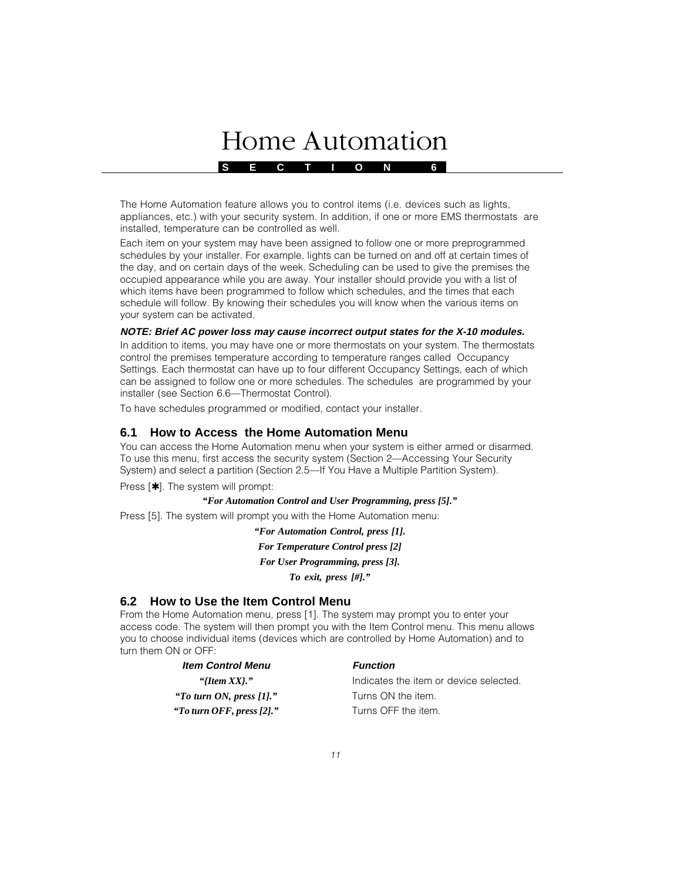# **Home Automation**

**S E C T I O N 6**

The Home Automation feature allows you to control items (i.e. devices such as lights, appliances, etc.) with your security system. In addition, if one or more EMS thermostats are installed, temperature can be controlled as well.

Each item on your system may have been assigned to follow one or more preprogrammed schedules by your installer. For example, lights can be turned on and off at certain times of the day, and on certain days of the week. Scheduling can be used to give the premises the occupied appearance while you are away. Your installer should provide you with a list of which items have been programmed to follow which schedules, and the times that each schedule will follow. By knowing their schedules you will know when the various items on your system can be activated.

## **NOTE: Brief AC power loss may cause incorrect output states for the X-10 modules.**

In addition to items, you may have one or more thermostats on your system. The thermostats control the premises temperature according to temperature ranges called Occupancy Settings. Each thermostat can have up to four different Occupancy Settings, each of which can be assigned to follow one or more schedules. The schedules are programmed by your installer (see Section 6.6—Thermostat Control).

To have schedules programmed or modified, contact your installer.

# **6.1 How to Access the Home Automation Menu**

You can access the Home Automation menu when your system is either armed or disarmed. To use this menu, first access the security system (Section 2—Accessing Your Security System) and select a partition (Section 2.5—If You Have a Multiple Partition System).

Press [✱]. The system will prompt:

## *"For Automation Control and User Programming, press [5]."*

Press [5]. The system will prompt you with the Home Automation menu:

*"For Automation Control, press [1]. For Temperature Control press [2] For User Programming, press [3]. To exit, press [#]."*

# **6.2 How to Use the Item Control Menu**

From the Home Automation menu, press [1]. The system may prompt you to enter your access code. The system will then prompt you with the Item Control menu. This menu allows you to choose individual items (devices which are controlled by Home Automation) and to turn them ON or OFF:

| <b>Item Control Menu</b>   | <b>Function</b>                        |
|----------------------------|----------------------------------------|
| "{Item $XX$ }."            | Indicates the item or device selected. |
| "To turn ON, press $[1]."$ | Turns ON the item.                     |
| "To turn OFF, press [2]."  | Turns OFF the item.                    |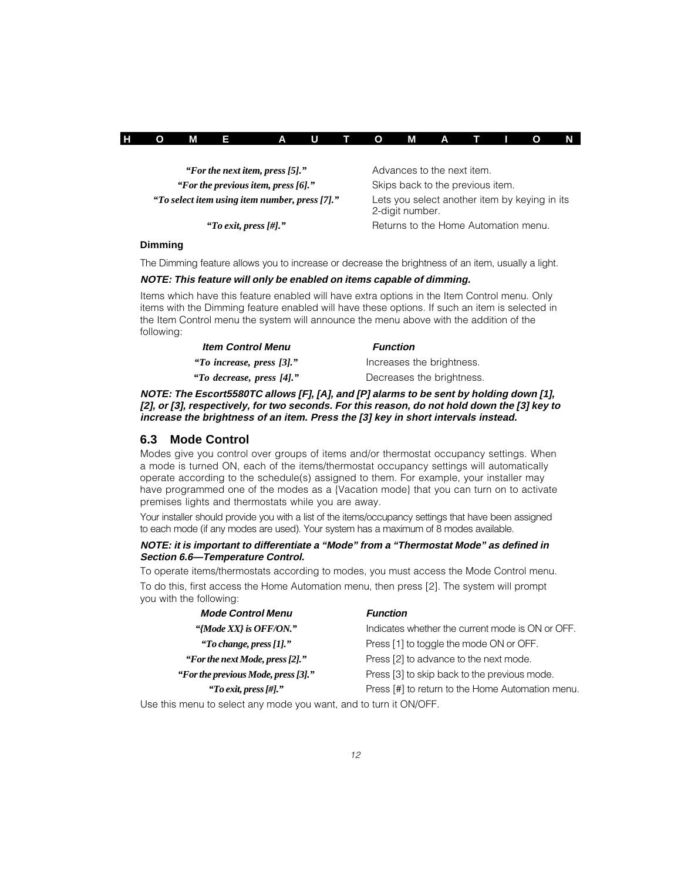|  |  |  | HOME AUTOMATION |  |  |  |  |  |  |  |  |  |  |
|--|--|--|-----------------|--|--|--|--|--|--|--|--|--|--|
|--|--|--|-----------------|--|--|--|--|--|--|--|--|--|--|

| "For the next item, press [5]."                |
|------------------------------------------------|
| "For the previous item, press $[6]$ ."         |
| "To select item using item number, press [7]." |

Advances to the next item.

**Skips back to the previous item.** 

Lets you select another item by keying in its 2-digit number.

*"To exit, press [#]."* Returns to the Home Automation menu.

### **Dimming**

The Dimming feature allows you to increase or decrease the brightness of an item, usually a light.

## **NOTE: This feature will only be enabled on items capable of dimming.**

Items which have this feature enabled will have extra options in the Item Control menu. Only items with the Dimming feature enabled will have these options. If such an item is selected in the Item Control menu the system will announce the menu above with the addition of the following:

| <b>Item Control Menu</b>  | <b>Function</b>           |
|---------------------------|---------------------------|
| "To increase, press [3]." | Increases the brightness. |
| "To decrease, press [4]." | Decreases the brightness. |

**NOTE: The Escort5580TC allows [F], [A], and [P] alarms to be sent by holding down [1], [2], or [3], respectively, for two seconds. For this reason, do not hold down the [3] key to increase the brightness of an item. Press the [3] key in short intervals instead.**

# **6.3 Mode Control**

Modes give you control over groups of items and/or thermostat occupancy settings. When a mode is turned ON, each of the items/thermostat occupancy settings will automatically operate according to the schedule(s) assigned to them. For example, your installer may have programmed one of the modes as a {Vacation mode} that you can turn on to activate premises lights and thermostats while you are away.

Your installer should provide you with a list of the items/occupancy settings that have been assigned to each mode (if any modes are used). Your system has a maximum of 8 modes available.

## **NOTE: it is important to differentiate a "Mode" from a "Thermostat Mode" as defined in Section 6.6—Temperature Control.**

To operate items/thermostats according to modes, you must access the Mode Control menu.

To do this, first access the Home Automation menu, then press [2]. The system will prompt you with the following:

| <b>Mode Control Menu</b>                        | <b>Function</b>                                  |
|-------------------------------------------------|--------------------------------------------------|
| "{Mode XX} is OFF/ON."                          | Indicates whether the current mode is ON or OFF. |
| "To change, press $[1]$ ."                      | Press [1] to toggle the mode ON or OFF.          |
| "For the next Mode, press [2],"                 | Press [2] to advance to the next mode.           |
| "For the previous Mode, press [3]."             | Press [3] to skip back to the previous mode.     |
| "To exit, press $\left[\frac{\mu}{r}\right]$ ." | Press [#] to return to the Home Automation menu. |

Use this menu to select any mode you want, and to turn it ON/OFF.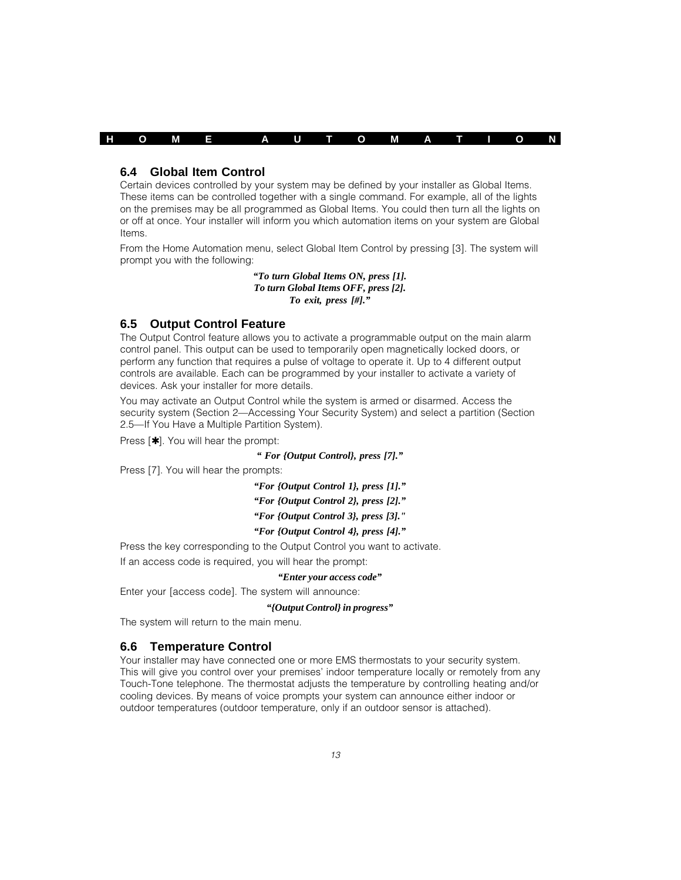

## **6.4 Global Item Control**

Certain devices controlled by your system may be defined by your installer as Global Items. These items can be controlled together with a single command. For example, all of the lights on the premises may be all programmed as Global Items. You could then turn all the lights on or off at once. Your installer will inform you which automation items on your system are Global Items.

From the Home Automation menu, select Global Item Control by pressing [3]. The system will prompt you with the following:

> *"To turn Global Items ON, press [1]. To turn Global Items OFF, press [2]. To exit, press [#]."*

## **6.5 Output Control Feature**

The Output Control feature allows you to activate a programmable output on the main alarm control panel. This output can be used to temporarily open magnetically locked doors, or perform any function that requires a pulse of voltage to operate it. Up to 4 different output controls are available. Each can be programmed by your installer to activate a variety of devices. Ask your installer for more details.

You may activate an Output Control while the system is armed or disarmed. Access the security system (Section 2—Accessing Your Security System) and select a partition (Section 2.5—If You Have a Multiple Partition System).

Press [ $\star$ ]. You will hear the prompt:

*" For {Output Control}, press [7]."*

Press [7]. You will hear the prompts:

*"For {Output Control 1}, press [1]."*

*"For {Output Control 2}, press [2]."*

*"For {Output Control 3}, press [3]."*

## *"For {Output Control 4}, press [4]."*

Press the key corresponding to the Output Control you want to activate.

If an access code is required, you will hear the prompt:

#### *"Enter your access code"*

Enter your [access code]. The system will announce:

#### *"{Output Control} in progress"*

The system will return to the main menu.

## **6.6 Temperature Control**

Your installer may have connected one or more EMS thermostats to your security system. This will give you control over your premises' indoor temperature locally or remotely from any Touch-Tone telephone. The thermostat adjusts the temperature by controlling heating and/or cooling devices. By means of voice prompts your system can announce either indoor or outdoor temperatures (outdoor temperature, only if an outdoor sensor is attached).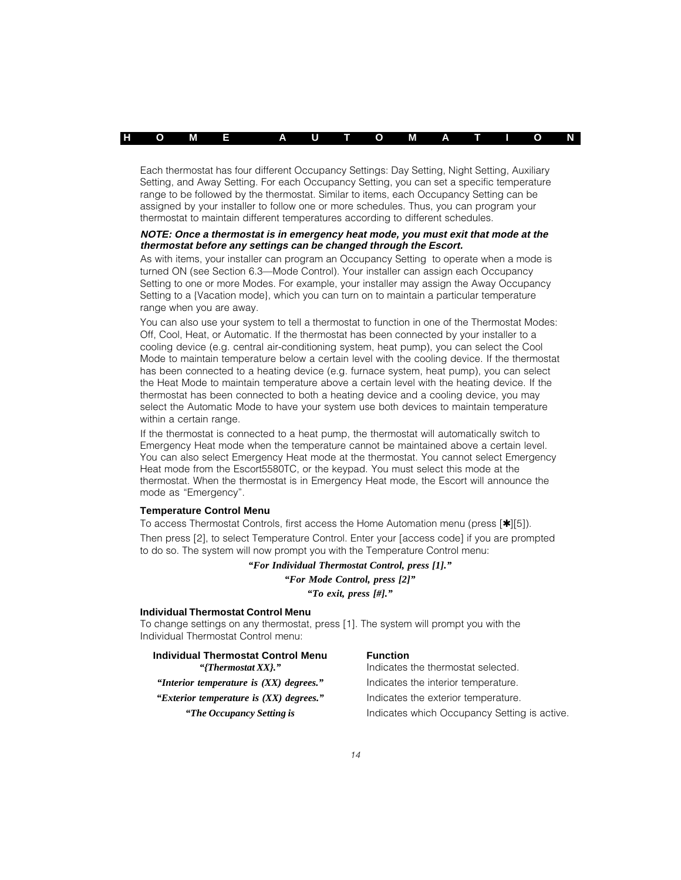Each thermostat has four different Occupancy Settings: Day Setting, Night Setting, Auxiliary Setting, and Away Setting. For each Occupancy Setting, you can set a specific temperature range to be followed by the thermostat. Similar to items, each Occupancy Setting can be assigned by your installer to follow one or more schedules. Thus, you can program your thermostat to maintain different temperatures according to different schedules.

#### **NOTE: Once a thermostat is in emergency heat mode, you must exit that mode at the thermostat before any settings can be changed through the Escort.**

As with items, your installer can program an Occupancy Setting to operate when a mode is turned ON (see Section 6.3—Mode Control). Your installer can assign each Occupancy Setting to one or more Modes. For example, your installer may assign the Away Occupancy Setting to a {Vacation mode}, which you can turn on to maintain a particular temperature range when you are away.

You can also use your system to tell a thermostat to function in one of the Thermostat Modes: Off, Cool, Heat, or Automatic. If the thermostat has been connected by your installer to a cooling device (e.g. central air-conditioning system, heat pump), you can select the Cool Mode to maintain temperature below a certain level with the cooling device. If the thermostat has been connected to a heating device (e.g. furnace system, heat pump), you can select the Heat Mode to maintain temperature above a certain level with the heating device. If the thermostat has been connected to both a heating device and a cooling device, you may select the Automatic Mode to have your system use both devices to maintain temperature within a certain range.

If the thermostat is connected to a heat pump, the thermostat will automatically switch to Emergency Heat mode when the temperature cannot be maintained above a certain level. You can also select Emergency Heat mode at the thermostat. You cannot select Emergency Heat mode from the Escort5580TC, or the keypad. You must select this mode at the thermostat. When the thermostat is in Emergency Heat mode, the Escort will announce the mode as "Emergency".

## **Temperature Control Menu**

To access Thermostat Controls, first access the Home Automation menu (press [✱][5]). Then press [2], to select Temperature Control. Enter your [access code] if you are prompted to do so. The system will now prompt you with the Temperature Control menu:

> *"For Individual Thermostat Control, press [1]." "For Mode Control, press [2]"*

> > *"To exit, press [#]."*

#### **Individual Thermostat Control Menu**

To change settings on any thermostat, press [1]. The system will prompt you with the Individual Thermostat Control menu:

| <b>Individual Thermostat Control Menu</b> | <b>Function</b>                              |
|-------------------------------------------|----------------------------------------------|
| "{Thermostat $XX$ }."                     | Indicates the thermostat selected.           |
| "Interior temperature is $(XX)$ degrees." | Indicates the interior temperature.          |
| "Exterior temperature is $(XX)$ degrees." | Indicates the exterior temperature.          |
| "The Occupancy Setting is"                | Indicates which Occupancy Setting is active. |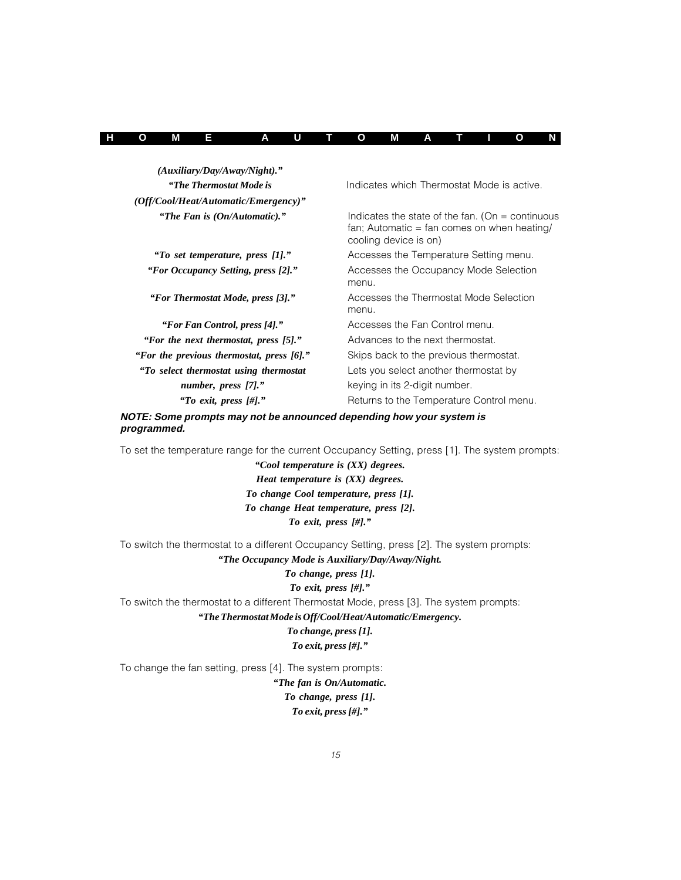| H O<br>ATIO |  |  | М |  | <b>A</b> U |  |  | T O | М |  |  |  |  | <b>N</b> |
|-------------|--|--|---|--|------------|--|--|-----|---|--|--|--|--|----------|
|-------------|--|--|---|--|------------|--|--|-----|---|--|--|--|--|----------|

| $(Auxiliary/Day/Away/Night)$ ."           |                                                                                                                              |
|-------------------------------------------|------------------------------------------------------------------------------------------------------------------------------|
| "The Thermostat Mode is                   | Indicates which Thermostat Mode is active.                                                                                   |
| $(Off/Cool/Heat/Automatic/Energy)$ "      |                                                                                                                              |
| "The Fan is (On/Automatic)."              | Indicates the state of the fan. (On $=$ continuous<br>$fan: Automatic = fan comes on when heating/$<br>cooling device is on) |
| "To set temperature, press [1]."          | Accesses the Temperature Setting menu.                                                                                       |
| "For Occupancy Setting, press [2]."       | Accesses the Occupancy Mode Selection<br>menu.                                                                               |
| "For Thermostat Mode, press [3]."         | Accesses the Thermostat Mode Selection<br>menu.                                                                              |
| "For Fan Control, press [4]."             | Accesses the Fan Control menu.                                                                                               |
| "For the next thermostat, press [5]."     | Advances to the next thermostat.                                                                                             |
| "For the previous thermostat, press [6]." | Skips back to the previous thermostat.                                                                                       |
| "To select thermostat using thermostat    | Lets you select another thermostat by                                                                                        |
| number, press [7]."                       | keying in its 2-digit number.                                                                                                |
| "To exit, press $[\#]$ ."                 | Returns to the Temperature Control menu.                                                                                     |

**NOTE: Some prompts may not be announced depending how your system is programmed.**

To set the temperature range for the current Occupancy Setting, press [1]. The system prompts:

*"Cool temperature is (XX) degrees. Heat temperature is (XX) degrees. To change Cool temperature, press [1]. To change Heat temperature, press [2]. To exit, press [#]."*

To switch the thermostat to a different Occupancy Setting, press [2]. The system prompts: *"The Occupancy Mode is Auxiliary/Day/Away/Night.*

#### *To change, press [1].*

#### *To exit, press [#]."*

To switch the thermostat to a different Thermostat Mode, press [3]. The system prompts: *"The Thermostat Mode is Off/Cool/Heat/Automatic/Emergency.*

> *To change, press [1]. To exit, press [#]."*

To change the fan setting, press [4]. The system prompts:

*"The fan is On/Automatic. To change, press [1]. To exit, press [#]."*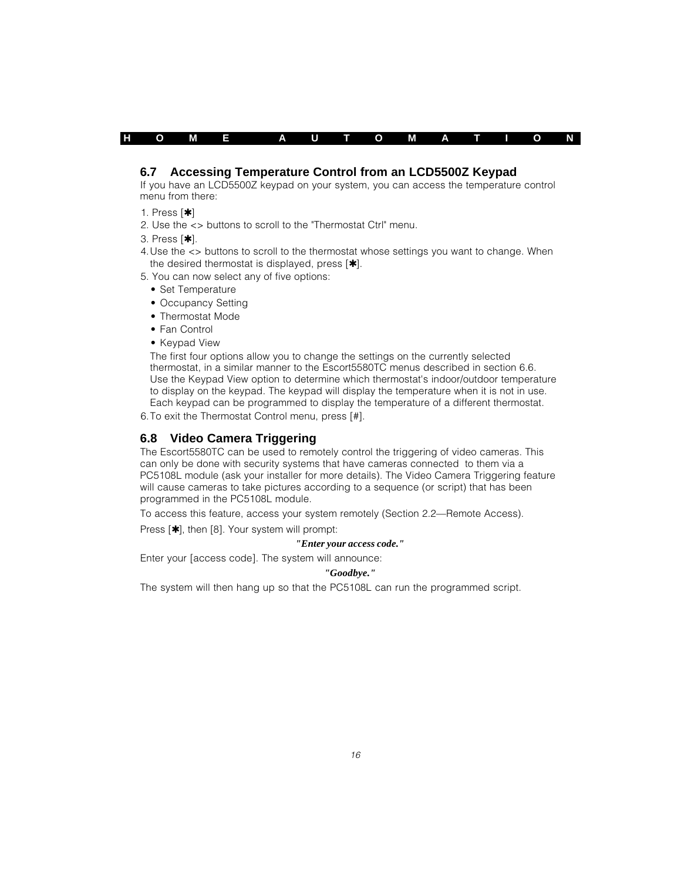| н | Ω | М | $\overline{A}$ |  | U |  | $\mathbf{o}$ | М |  |  | $\blacksquare$ |  | N |
|---|---|---|----------------|--|---|--|--------------|---|--|--|----------------|--|---|
|---|---|---|----------------|--|---|--|--------------|---|--|--|----------------|--|---|

## **6.7 Accessing Temperature Control from an LCD5500Z Keypad**

If you have an LCD5500Z keypad on your system, you can access the temperature control menu from there:

- 1. Press [✱]
- 2. Use the <> buttons to scroll to the "Thermostat Ctrl" menu.

3. Press [✱].

- 4.Use the <> buttons to scroll to the thermostat whose settings you want to change. When the desired thermostat is displayed, press  $[\star]$ .
- 5. You can now select any of five options:
	- Set Temperature
	- Occupancy Setting
	- Thermostat Mode
	- Fan Control
	- Keypad View

The first four options allow you to change the settings on the currently selected thermostat, in a similar manner to the Escort5580TC menus described in section 6.6. Use the Keypad View option to determine which thermostat's indoor/outdoor temperature to display on the keypad. The keypad will display the temperature when it is not in use. Each keypad can be programmed to display the temperature of a different thermostat.

6.To exit the Thermostat Control menu, press [#].

## **6.8 Video Camera Triggering**

The Escort5580TC can be used to remotely control the triggering of video cameras. This can only be done with security systems that have cameras connected to them via a PC5108L module (ask your installer for more details). The Video Camera Triggering feature will cause cameras to take pictures according to a sequence (or script) that has been programmed in the PC5108L module.

To access this feature, access your system remotely (Section 2.2—Remote Access).

Press [✱], then [8]. Your system will prompt:

#### *"Enter your access code."*

Enter your [access code]. The system will announce:

#### *"Goodbye."*

The system will then hang up so that the PC5108L can run the programmed script.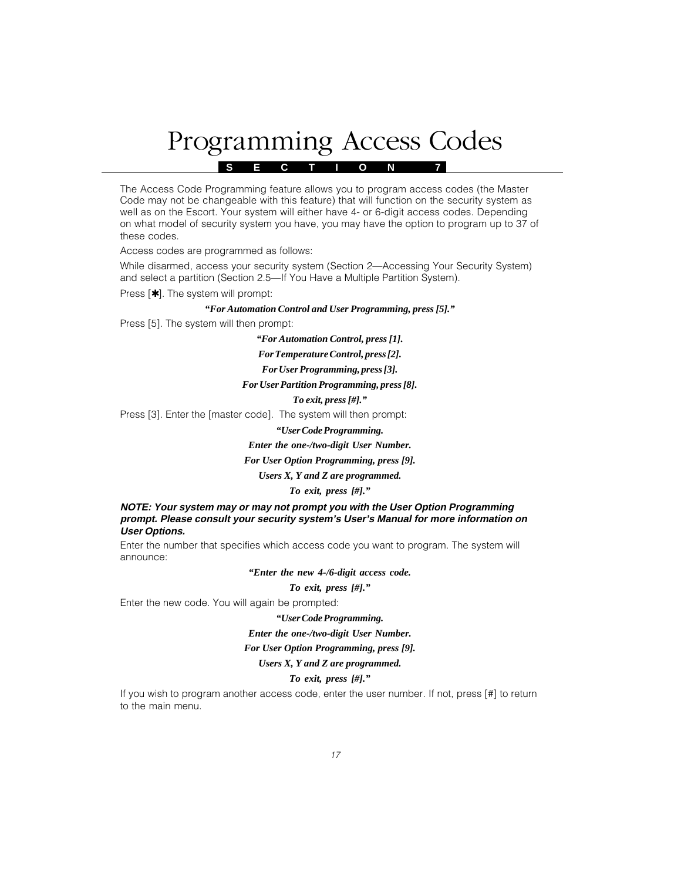# Programming Access Codes

**S E C T I O N 7**

The Access Code Programming feature allows you to program access codes (the Master Code may not be changeable with this feature) that will function on the security system as well as on the Escort. Your system will either have 4- or 6-digit access codes. Depending on what model of security system you have, you may have the option to program up to 37 of these codes.

Access codes are programmed as follows:

While disarmed, access your security system (Section 2—Accessing Your Security System) and select a partition (Section 2.5—If You Have a Multiple Partition System).

Press [✱]. The system will prompt:

#### *"For Automation Control and User Programming, press [5]."*

Press [5]. The system will then prompt:

*"For Automation Control, press [1].*

*For Temperature Control, press [2].*

*For User Programming, press [3].*

#### *For User Partition Programming, press [8].*

*To exit, press [#]."*

Press [3]. Enter the [master code]. The system will then prompt:

*"User Code Programming.*

#### *Enter the one-/two-digit User Number.*

#### *For User Option Programming, press [9].*

#### *Users X, Y and Z are programmed.*

*To exit, press [#]."*

#### **NOTE: Your system may or may not prompt you with the User Option Programming prompt. Please consult your security system's User's Manual for more information on User Options.**

Enter the number that specifies which access code you want to program. The system will announce:

#### *"Enter the new 4-/6-digit access code.*

*To exit, press [#]."*

Enter the new code. You will again be prompted:

# *"User Code Programming. Enter the one-/two-digit User Number. For User Option Programming, press [9]. Users X, Y and Z are programmed.*

#### *To exit, press [#]."*

If you wish to program another access code, enter the user number. If not, press [#] to return to the main menu.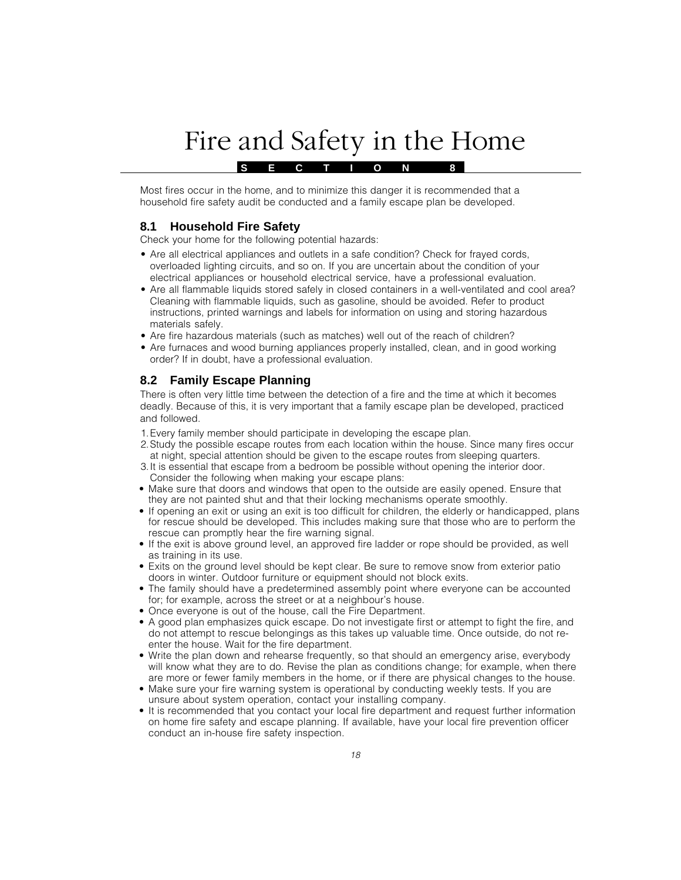# Fire and Safety in the Home

Most fires occur in the home, and to minimize this danger it is recommended that a household fire safety audit be conducted and a family escape plan be developed.

**S E C T I O N 8**

# **8.1 Household Fire Safety**

Check your home for the following potential hazards:

- Are all electrical appliances and outlets in a safe condition? Check for frayed cords, overloaded lighting circuits, and so on. If you are uncertain about the condition of your electrical appliances or household electrical service, have a professional evaluation.
- Are all flammable liquids stored safely in closed containers in a well-ventilated and cool area? Cleaning with flammable liquids, such as gasoline, should be avoided. Refer to product instructions, printed warnings and labels for information on using and storing hazardous materials safely.
- Are fire hazardous materials (such as matches) well out of the reach of children?
- Are furnaces and wood burning appliances properly installed, clean, and in good working order? If in doubt, have a professional evaluation.

## **8.2 Family Escape Planning**

There is often very little time between the detection of a fire and the time at which it becomes deadly. Because of this, it is very important that a family escape plan be developed, practiced and followed.

- 1.Every family member should participate in developing the escape plan.
- 2.Study the possible escape routes from each location within the house. Since many fires occur at night, special attention should be given to the escape routes from sleeping quarters.
- 3.It is essential that escape from a bedroom be possible without opening the interior door. Consider the following when making your escape plans:
- Make sure that doors and windows that open to the outside are easily opened. Ensure that they are not painted shut and that their locking mechanisms operate smoothly.
- If opening an exit or using an exit is too difficult for children, the elderly or handicapped, plans for rescue should be developed. This includes making sure that those who are to perform the rescue can promptly hear the fire warning signal.
- If the exit is above ground level, an approved fire ladder or rope should be provided, as well as training in its use.
- Exits on the ground level should be kept clear. Be sure to remove snow from exterior patio doors in winter. Outdoor furniture or equipment should not block exits.
- The family should have a predetermined assembly point where everyone can be accounted for; for example, across the street or at a neighbour's house.
- Once everyone is out of the house, call the Fire Department.
- A good plan emphasizes quick escape. Do not investigate first or attempt to fight the fire, and do not attempt to rescue belongings as this takes up valuable time. Once outside, do not reenter the house. Wait for the fire department.
- Write the plan down and rehearse frequently, so that should an emergency arise, everybody will know what they are to do. Revise the plan as conditions change; for example, when there are more or fewer family members in the home, or if there are physical changes to the house.
- Make sure your fire warning system is operational by conducting weekly tests. If you are unsure about system operation, contact your installing company.
- It is recommended that you contact your local fire department and request further information on home fire safety and escape planning. If available, have your local fire prevention officer conduct an in-house fire safety inspection.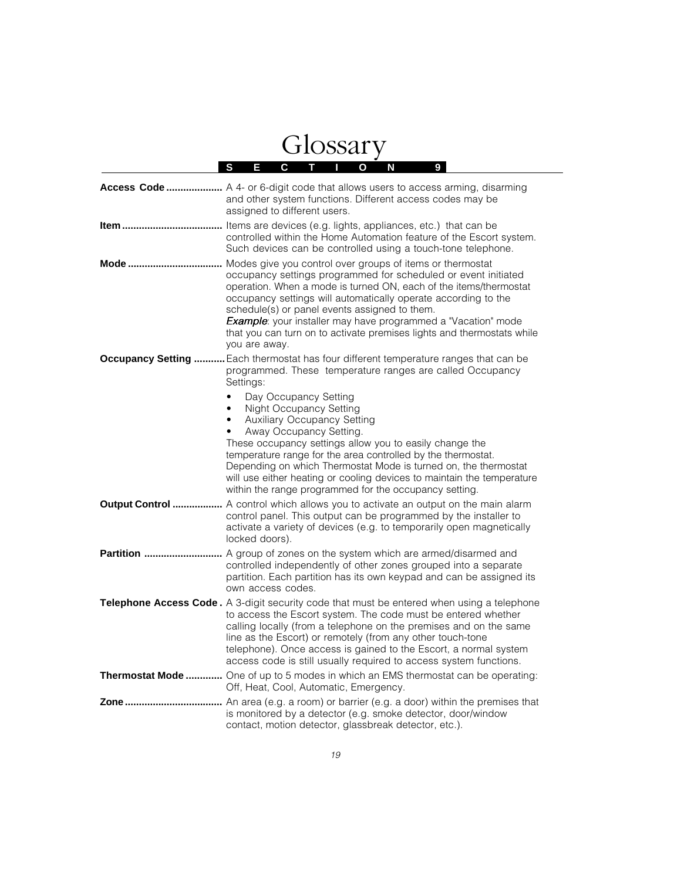# Glossary

|                   | S<br>Е<br>С<br>Ο<br>N<br>9<br>т                                                                                                                                                                                                                                                                                                                                                                                                                                             |
|-------------------|-----------------------------------------------------------------------------------------------------------------------------------------------------------------------------------------------------------------------------------------------------------------------------------------------------------------------------------------------------------------------------------------------------------------------------------------------------------------------------|
|                   | <b>Access Code </b> A 4- or 6-digit code that allows users to access arming, disarming<br>and other system functions. Different access codes may be<br>assigned to different users.                                                                                                                                                                                                                                                                                         |
|                   | controlled within the Home Automation feature of the Escort system.<br>Such devices can be controlled using a touch-tone telephone.                                                                                                                                                                                                                                                                                                                                         |
|                   | occupancy settings programmed for scheduled or event initiated<br>operation. When a mode is turned ON, each of the items/thermostat<br>occupancy settings will automatically operate according to the<br>schedule(s) or panel events assigned to them.<br><b>Example</b> : your installer may have programmed a "Vacation" mode<br>that you can turn on to activate premises lights and thermostats while<br>you are away.                                                  |
|                   | <b>Occupancy Setting </b> Each thermostat has four different temperature ranges that can be<br>programmed. These temperature ranges are called Occupancy<br>Settings:                                                                                                                                                                                                                                                                                                       |
|                   | Day Occupancy Setting<br>$\bullet$<br>Night Occupancy Setting<br>$\bullet$<br>Auxiliary Occupancy Setting<br>٠<br>Away Occupancy Setting.<br>These occupancy settings allow you to easily change the<br>temperature range for the area controlled by the thermostat.<br>Depending on which Thermostat Mode is turned on, the thermostat<br>will use either heating or cooling devices to maintain the temperature<br>within the range programmed for the occupancy setting. |
|                   | <b>Output Control </b> A control which allows you to activate an output on the main alarm<br>control panel. This output can be programmed by the installer to<br>activate a variety of devices (e.g. to temporarily open magnetically<br>locked doors).                                                                                                                                                                                                                     |
| <b>Partition </b> | A group of zones on the system which are armed/disarmed and<br>controlled independently of other zones grouped into a separate<br>partition. Each partition has its own keypad and can be assigned its<br>own access codes.                                                                                                                                                                                                                                                 |
|                   | <b>Telephone Access Code.</b> A 3-digit security code that must be entered when using a telephone<br>to access the Escort system. The code must be entered whether<br>calling locally (from a telephone on the premises and on the same<br>line as the Escort) or remotely (from any other touch-tone<br>telephone). Once access is gained to the Escort, a normal system<br>access code is still usually required to access system functions.                              |
|                   | Thermostat Mode  One of up to 5 modes in which an EMS thermostat can be operating:<br>Off, Heat, Cool, Automatic, Emergency.                                                                                                                                                                                                                                                                                                                                                |
|                   | is monitored by a detector (e.g. smoke detector, door/window<br>contact, motion detector, glassbreak detector, etc.).                                                                                                                                                                                                                                                                                                                                                       |